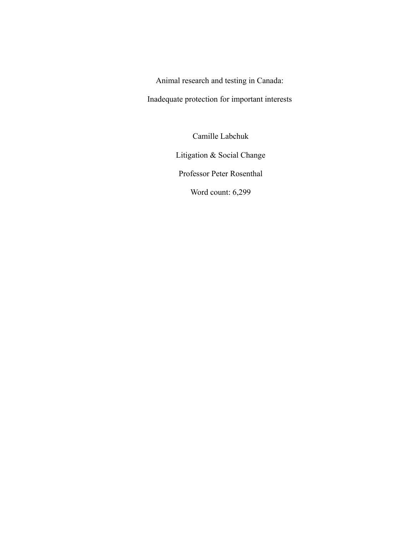Animal research and testing in Canada:

Inadequate protection for important interests

Camille Labchuk

Litigation & Social Change

Professor Peter Rosenthal

Word count: 6,299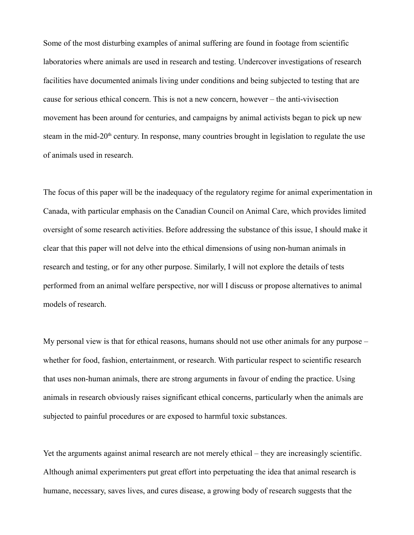Some of the most disturbing examples of animal suffering are found in footage from scientific laboratories where animals are used in research and testing. Undercover investigations of research facilities have documented animals living under conditions and being subjected to testing that are cause for serious ethical concern. This is not a new concern, however – the anti-vivisection movement has been around for centuries, and campaigns by animal activists began to pick up new steam in the mid-20<sup>th</sup> century. In response, many countries brought in legislation to regulate the use of animals used in research.

The focus of this paper will be the inadequacy of the regulatory regime for animal experimentation in Canada, with particular emphasis on the Canadian Council on Animal Care, which provides limited oversight of some research activities. Before addressing the substance of this issue, I should make it clear that this paper will not delve into the ethical dimensions of using non-human animals in research and testing, or for any other purpose. Similarly, I will not explore the details of tests performed from an animal welfare perspective, nor will I discuss or propose alternatives to animal models of research.

My personal view is that for ethical reasons, humans should not use other animals for any purpose – whether for food, fashion, entertainment, or research. With particular respect to scientific research that uses non-human animals, there are strong arguments in favour of ending the practice. Using animals in research obviously raises significant ethical concerns, particularly when the animals are subjected to painful procedures or are exposed to harmful toxic substances.

Yet the arguments against animal research are not merely ethical – they are increasingly scientific. Although animal experimenters put great effort into perpetuating the idea that animal research is humane, necessary, saves lives, and cures disease, a growing body of research suggests that the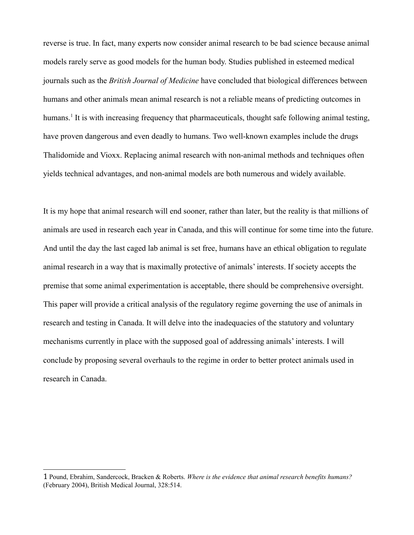reverse is true. In fact, many experts now consider animal research to be bad science because animal models rarely serve as good models for the human body. Studies published in esteemed medical journals such as the *British Journal of Medicine* have concluded that biological differences between humans and other animals mean animal research is not a reliable means of predicting outcomes in humans.<sup>[1](#page-2-0)</sup> It is with increasing frequency that pharmaceuticals, thought safe following animal testing, have proven dangerous and even deadly to humans. Two well-known examples include the drugs Thalidomide and Vioxx. Replacing animal research with non-animal methods and techniques often yields technical advantages, and non-animal models are both numerous and widely available.

It is my hope that animal research will end sooner, rather than later, but the reality is that millions of animals are used in research each year in Canada, and this will continue for some time into the future. And until the day the last caged lab animal is set free, humans have an ethical obligation to regulate animal research in a way that is maximally protective of animals' interests. If society accepts the premise that some animal experimentation is acceptable, there should be comprehensive oversight. This paper will provide a critical analysis of the regulatory regime governing the use of animals in research and testing in Canada. It will delve into the inadequacies of the statutory and voluntary mechanisms currently in place with the supposed goal of addressing animals' interests. I will conclude by proposing several overhauls to the regime in order to better protect animals used in research in Canada.

<span id="page-2-0"></span><sup>1</sup> Pound, Ebrahim, Sandercock, Bracken & Roberts. *Where is the evidence that animal research benefits humans?* (February 2004), British Medical Journal, 328:514.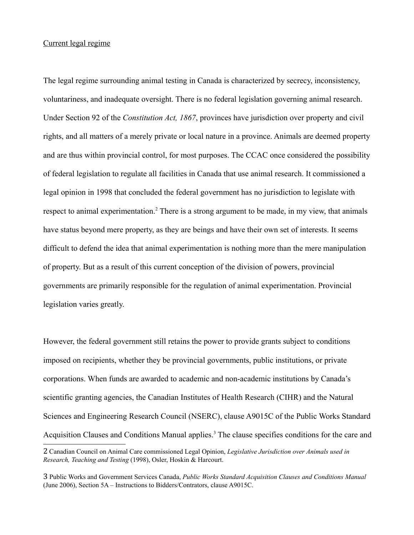### Current legal regime

The legal regime surrounding animal testing in Canada is characterized by secrecy, inconsistency, voluntariness, and inadequate oversight. There is no federal legislation governing animal research. Under Section 92 of the *Constitution Act, 1867*, provinces have jurisdiction over property and civil rights, and all matters of a merely private or local nature in a province. Animals are deemed property and are thus within provincial control, for most purposes. The CCAC once considered the possibility of federal legislation to regulate all facilities in Canada that use animal research. It commissioned a legal opinion in 1998 that concluded the federal government has no jurisdiction to legislate with respect to animal experimentation.<sup>[2](#page-3-0)</sup> There is a strong argument to be made, in my view, that animals have status beyond mere property, as they are beings and have their own set of interests. It seems difficult to defend the idea that animal experimentation is nothing more than the mere manipulation of property. But as a result of this current conception of the division of powers, provincial governments are primarily responsible for the regulation of animal experimentation. Provincial legislation varies greatly.

However, the federal government still retains the power to provide grants subject to conditions imposed on recipients, whether they be provincial governments, public institutions, or private corporations. When funds are awarded to academic and non-academic institutions by Canada's scientific granting agencies, the Canadian Institutes of Health Research (CIHR) and the Natural Sciences and Engineering Research Council (NSERC), clause A9015C of the Public Works Standard Acquisition Clauses and Conditions Manual applies.<sup>[3](#page-3-1)</sup> The clause specifies conditions for the care and

<span id="page-3-0"></span><sup>2</sup> Canadian Council on Animal Care commissioned Legal Opinion, *Legislative Jurisdiction over Animals used in Research, Teaching and Testing* (1998), Osler, Hoskin & Harcourt.

<span id="page-3-1"></span><sup>3</sup> Public Works and Government Services Canada, *Public Works Standard Acquisition Clauses and Conditions Manual* (June 2006), Section 5A – Instructions to Bidders/Contrators, clause A9015C.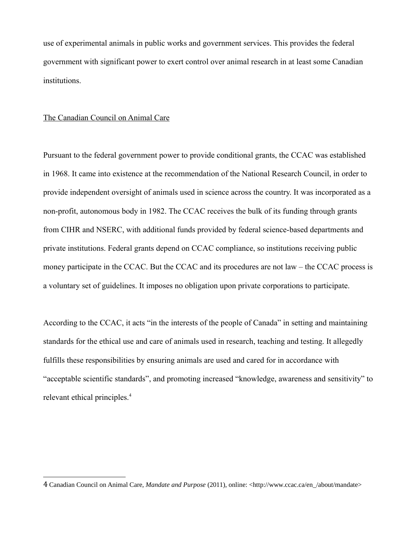use of experimental animals in public works and government services. This provides the federal government with significant power to exert control over animal research in at least some Canadian institutions.

### The Canadian Council on Animal Care

Pursuant to the federal government power to provide conditional grants, the CCAC was established in 1968. It came into existence at the recommendation of the National Research Council, in order to provide independent oversight of animals used in science across the country. It was incorporated as a non-profit, autonomous body in 1982. The CCAC receives the bulk of its funding through grants from CIHR and NSERC, with additional funds provided by federal science-based departments and private institutions. Federal grants depend on CCAC compliance, so institutions receiving public money participate in the CCAC. But the CCAC and its procedures are not law – the CCAC process is a voluntary set of guidelines. It imposes no obligation upon private corporations to participate.

According to the CCAC, it acts "in the interests of the people of Canada" in setting and maintaining standards for the ethical use and care of animals used in research, teaching and testing. It allegedly fulfills these responsibilities by ensuring animals are used and cared for in accordance with "acceptable scientific standards", and promoting increased "knowledge, awareness and sensitivity" to relevant ethical principles.[4](#page-4-0)

<span id="page-4-0"></span><sup>4</sup> Canadian Council on Animal Care, *Mandate and Purpose* (2011), online: <http://www.ccac.ca/en\_/about/mandate>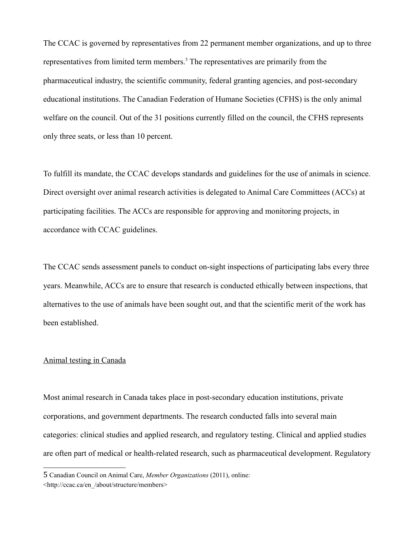The CCAC is governed by representatives from 22 permanent member organizations, and up to three representatives from limited term members.<sup>[5](#page-5-0)</sup> The representatives are primarily from the pharmaceutical industry, the scientific community, federal granting agencies, and post-secondary educational institutions. The Canadian Federation of Humane Societies (CFHS) is the only animal welfare on the council. Out of the 31 positions currently filled on the council, the CFHS represents only three seats, or less than 10 percent.

To fulfill its mandate, the CCAC develops standards and guidelines for the use of animals in science. Direct oversight over animal research activities is delegated to Animal Care Committees (ACCs) at participating facilities. The ACCs are responsible for approving and monitoring projects, in accordance with CCAC guidelines.

The CCAC sends assessment panels to conduct on-sight inspections of participating labs every three years. Meanwhile, ACCs are to ensure that research is conducted ethically between inspections, that alternatives to the use of animals have been sought out, and that the scientific merit of the work has been established.

#### Animal testing in Canada

Most animal research in Canada takes place in post-secondary education institutions, private corporations, and government departments. The research conducted falls into several main categories: clinical studies and applied research, and regulatory testing. Clinical and applied studies are often part of medical or health-related research, such as pharmaceutical development. Regulatory

<span id="page-5-0"></span><sup>5</sup> Canadian Council on Animal Care, *Member Organizations* (2011), online: [<http://ccac.ca/en\\_/about/structure/members>](http://ccac.ca/en_/about/structure/members)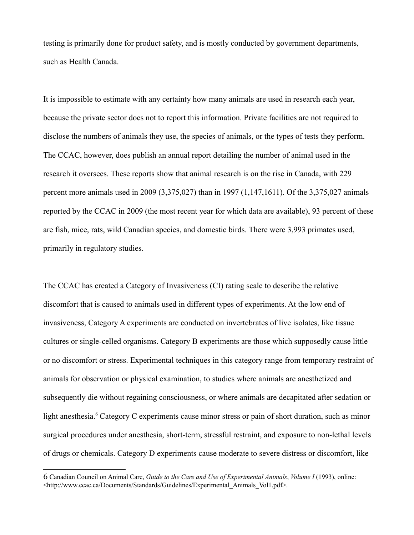testing is primarily done for product safety, and is mostly conducted by government departments, such as Health Canada.

It is impossible to estimate with any certainty how many animals are used in research each year, because the private sector does not to report this information. Private facilities are not required to disclose the numbers of animals they use, the species of animals, or the types of tests they perform. The CCAC, however, does publish an annual report detailing the number of animal used in the research it oversees. These reports show that animal research is on the rise in Canada, with 229 percent more animals used in 2009 (3,375,027) than in 1997 (1,147,1611). Of the 3,375,027 animals reported by the CCAC in 2009 (the most recent year for which data are available), 93 percent of these are fish, mice, rats, wild Canadian species, and domestic birds. There were 3,993 primates used, primarily in regulatory studies.

The CCAC has created a Category of Invasiveness (CI) rating scale to describe the relative discomfort that is caused to animals used in different types of experiments. At the low end of invasiveness, Category A experiments are conducted on invertebrates of live isolates, like tissue cultures or single-celled organisms. Category B experiments are those which supposedly cause little or no discomfort or stress. Experimental techniques in this category range from temporary restraint of animals for observation or physical examination, to studies where animals are anesthetized and subsequently die without regaining consciousness, or where animals are decapitated after sedation or light anesthesia.<sup>[6](#page-6-0)</sup> Category C experiments cause minor stress or pain of short duration, such as minor surgical procedures under anesthesia, short-term, stressful restraint, and exposure to non-lethal levels of drugs or chemicals. Category D experiments cause moderate to severe distress or discomfort, like

<span id="page-6-0"></span><sup>6</sup> Canadian Council on Animal Care, *Guide to the Care and Use of Experimental Animals*, *Volume I* (1993), online: <http://www.ccac.ca/Documents/Standards/Guidelines/Experimental\_Animals\_Vol1.pdf>.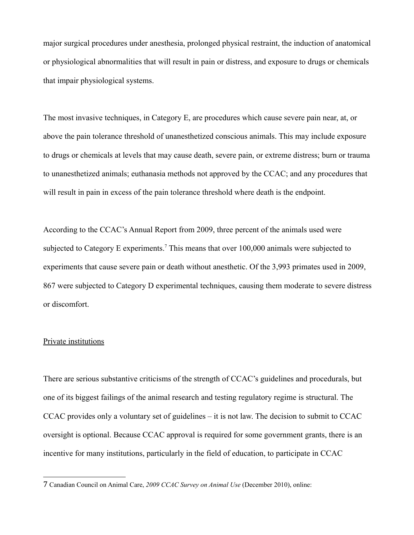major surgical procedures under anesthesia, prolonged physical restraint, the induction of anatomical or physiological abnormalities that will result in pain or distress, and exposure to drugs or chemicals that impair physiological systems.

The most invasive techniques, in Category E, are procedures which cause severe pain near, at, or above the pain tolerance threshold of unanesthetized conscious animals. This may include exposure to drugs or chemicals at levels that may cause death, severe pain, or extreme distress; burn or trauma to unanesthetized animals; euthanasia methods not approved by the CCAC; and any procedures that will result in pain in excess of the pain tolerance threshold where death is the endpoint.

According to the CCAC's Annual Report from 2009, three percent of the animals used were subjected to Category E experiments.<sup>[7](#page-7-0)</sup> This means that over  $100,000$  animals were subjected to experiments that cause severe pain or death without anesthetic. Of the 3,993 primates used in 2009, 867 were subjected to Category D experimental techniques, causing them moderate to severe distress or discomfort.

## Private institutions

There are serious substantive criticisms of the strength of CCAC's guidelines and procedurals, but one of its biggest failings of the animal research and testing regulatory regime is structural. The CCAC provides only a voluntary set of guidelines – it is not law. The decision to submit to CCAC oversight is optional. Because CCAC approval is required for some government grants, there is an incentive for many institutions, particularly in the field of education, to participate in CCAC

<span id="page-7-0"></span><sup>7</sup> Canadian Council on Animal Care, *2009 CCAC Survey on Animal Use* (December 2010), online: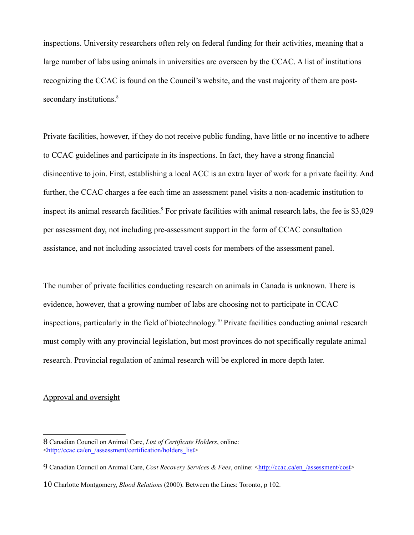inspections. University researchers often rely on federal funding for their activities, meaning that a large number of labs using animals in universities are overseen by the CCAC. A list of institutions recognizing the CCAC is found on the Council's website, and the vast majority of them are post-secondary institutions.<sup>[8](#page-8-0)</sup>

Private facilities, however, if they do not receive public funding, have little or no incentive to adhere to CCAC guidelines and participate in its inspections. In fact, they have a strong financial disincentive to join. First, establishing a local ACC is an extra layer of work for a private facility. And further, the CCAC charges a fee each time an assessment panel visits a non-academic institution to inspect its animal research facilities.<sup>[9](#page-8-1)</sup> For private facilities with animal research labs, the fee is \$3,029 per assessment day, not including pre-assessment support in the form of CCAC consultation assistance, and not including associated travel costs for members of the assessment panel.

The number of private facilities conducting research on animals in Canada is unknown. There is evidence, however, that a growing number of labs are choosing not to participate in CCAC inspections, particularly in the field of biotechnology.[10](#page-8-2) Private facilities conducting animal research must comply with any provincial legislation, but most provinces do not specifically regulate animal research. Provincial regulation of animal research will be explored in more depth later.

# Approval and oversight

<span id="page-8-0"></span><sup>8</sup> Canadian Council on Animal Care, *List of Certificate Holders*, online: [<http://ccac.ca/en\\_/assessment/certification/holders\\_list>](http://ccac.ca/en_/assessment/certification/holders_list)

<span id="page-8-1"></span><sup>9</sup> Canadian Council on Animal Care, *Cost Recovery Services & Fees*, online: <**http://ccac.ca/en\_/assessment/cost>** 

<span id="page-8-2"></span><sup>10</sup> Charlotte Montgomery, *Blood Relations* (2000). Between the Lines: Toronto, p 102.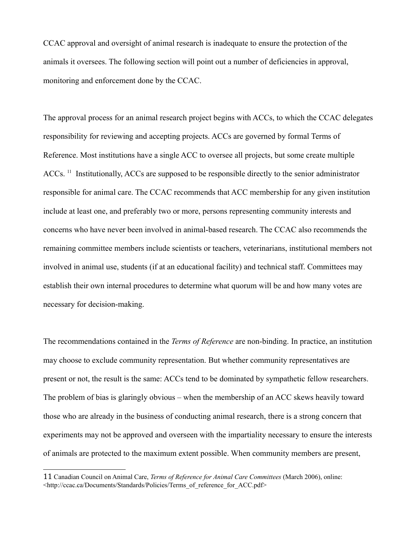CCAC approval and oversight of animal research is inadequate to ensure the protection of the animals it oversees. The following section will point out a number of deficiencies in approval, monitoring and enforcement done by the CCAC.

The approval process for an animal research project begins with ACCs, to which the CCAC delegates responsibility for reviewing and accepting projects. ACCs are governed by formal Terms of Reference. Most institutions have a single ACC to oversee all projects, but some create multiple ACCs.<sup>[11](#page-9-0)</sup> Institutionally, ACCs are supposed to be responsible directly to the senior administrator responsible for animal care. The CCAC recommends that ACC membership for any given institution include at least one, and preferably two or more, persons representing community interests and concerns who have never been involved in animal-based research. The CCAC also recommends the remaining committee members include scientists or teachers, veterinarians, institutional members not involved in animal use, students (if at an educational facility) and technical staff. Committees may establish their own internal procedures to determine what quorum will be and how many votes are necessary for decision-making.

The recommendations contained in the *Terms of Reference* are non-binding. In practice, an institution may choose to exclude community representation. But whether community representatives are present or not, the result is the same: ACCs tend to be dominated by sympathetic fellow researchers. The problem of bias is glaringly obvious – when the membership of an ACC skews heavily toward those who are already in the business of conducting animal research, there is a strong concern that experiments may not be approved and overseen with the impartiality necessary to ensure the interests of animals are protected to the maximum extent possible. When community members are present,

<span id="page-9-0"></span><sup>11</sup> Canadian Council on Animal Care, *Terms of Reference for Animal Care Committees* (March 2006), online: <http://ccac.ca/Documents/Standards/Policies/Terms\_of\_reference\_for\_ACC.pdf>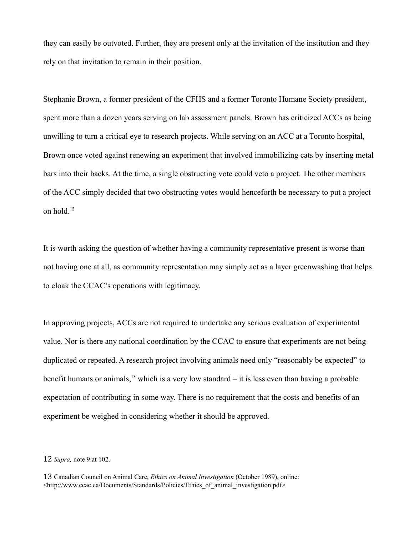they can easily be outvoted. Further, they are present only at the invitation of the institution and they rely on that invitation to remain in their position.

Stephanie Brown, a former president of the CFHS and a former Toronto Humane Society president, spent more than a dozen years serving on lab assessment panels. Brown has criticized ACCs as being unwilling to turn a critical eye to research projects. While serving on an ACC at a Toronto hospital, Brown once voted against renewing an experiment that involved immobilizing cats by inserting metal bars into their backs. At the time, a single obstructing vote could veto a project. The other members of the ACC simply decided that two obstructing votes would henceforth be necessary to put a project on hold.[12](#page-10-0)

It is worth asking the question of whether having a community representative present is worse than not having one at all, as community representation may simply act as a layer greenwashing that helps to cloak the CCAC's operations with legitimacy.

In approving projects, ACCs are not required to undertake any serious evaluation of experimental value. Nor is there any national coordination by the CCAC to ensure that experiments are not being duplicated or repeated. A research project involving animals need only "reasonably be expected" to benefit humans or animals,<sup>[13](#page-10-1)</sup> which is a very low standard – it is less even than having a probable expectation of contributing in some way. There is no requirement that the costs and benefits of an experiment be weighed in considering whether it should be approved.

<span id="page-10-0"></span><sup>12</sup> *Supra,* note 9 at 102.

<span id="page-10-1"></span><sup>13</sup> Canadian Council on Animal Care, *Ethics on Animal Investigation* (October 1989), online:  $\langle$ http://www.ccac.ca/Documents/Standards/Policies/Ethics of animal investigation.pdf>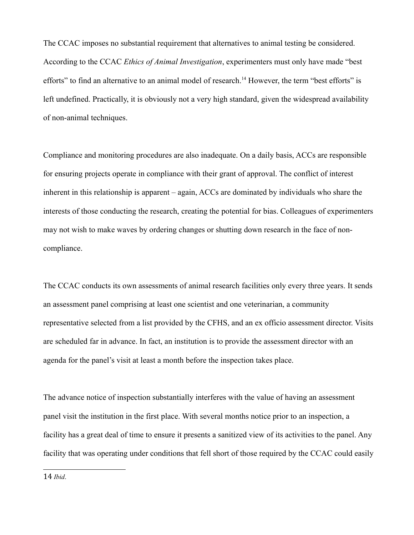The CCAC imposes no substantial requirement that alternatives to animal testing be considered. According to the CCAC *Ethics of Animal Investigation*, experimenters must only have made "best efforts" to find an alternative to an animal model of research.<sup>[14](#page-11-0)</sup> However, the term "best efforts" is left undefined. Practically, it is obviously not a very high standard, given the widespread availability of non-animal techniques.

Compliance and monitoring procedures are also inadequate. On a daily basis, ACCs are responsible for ensuring projects operate in compliance with their grant of approval. The conflict of interest inherent in this relationship is apparent – again, ACCs are dominated by individuals who share the interests of those conducting the research, creating the potential for bias. Colleagues of experimenters may not wish to make waves by ordering changes or shutting down research in the face of noncompliance.

The CCAC conducts its own assessments of animal research facilities only every three years. It sends an assessment panel comprising at least one scientist and one veterinarian, a community representative selected from a list provided by the CFHS, and an ex officio assessment director. Visits are scheduled far in advance. In fact, an institution is to provide the assessment director with an agenda for the panel's visit at least a month before the inspection takes place.

The advance notice of inspection substantially interferes with the value of having an assessment panel visit the institution in the first place. With several months notice prior to an inspection, a facility has a great deal of time to ensure it presents a sanitized view of its activities to the panel. Any facility that was operating under conditions that fell short of those required by the CCAC could easily

<span id="page-11-0"></span>14 *Ibid*.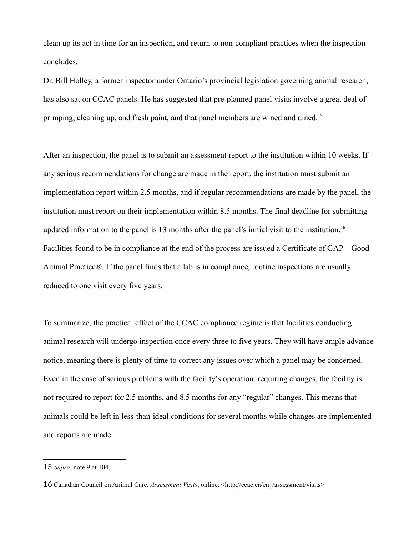clean up its act in time for an inspection, and return to non-compliant practices when the inspection concludes.

Dr. Bill Holley, a former inspector under Ontario's provincial legislation governing animal research, has also sat on CCAC panels. He has suggested that pre-planned panel visits involve a great deal of primping, cleaning up, and fresh paint, and that panel members are wined and dined.<sup>[15](#page-12-0)</sup>

After an inspection, the panel is to submit an assessment report to the institution within 10 weeks. If any serious recommendations for change are made in the report, the institution must submit an implementation report within 2.5 months, and if regular recommendations are made by the panel, the institution must report on their implementation within 8.5 months. The final deadline for submitting updated information to the panel is 13 months after the panel's initial visit to the institution.<sup>[16](#page-12-1)</sup> Facilities found to be in compliance at the end of the process are issued a Certificate of GAP – Good Animal Practice®. If the panel finds that a lab is in compliance, routine inspections are usually reduced to one visit every five years.

To summarize, the practical effect of the CCAC compliance regime is that facilities conducting animal research will undergo inspection once every three to five years. They will have ample advance notice, meaning there is plenty of time to correct any issues over which a panel may be concerned. Even in the case of serious problems with the facility's operation, requiring changes, the facility is not required to report for 2.5 months, and 8.5 months for any "regular" changes. This means that animals could be left in less-than-ideal conditions for several months while changes are implemented and reports are made.

<span id="page-12-0"></span><sup>15</sup> *Supra*, note 9 at 104.

<span id="page-12-1"></span><sup>16</sup> Canadian Council on Animal Care, *Assessment Visits*, online: <http://ccac.ca/en\_/assessment/visits>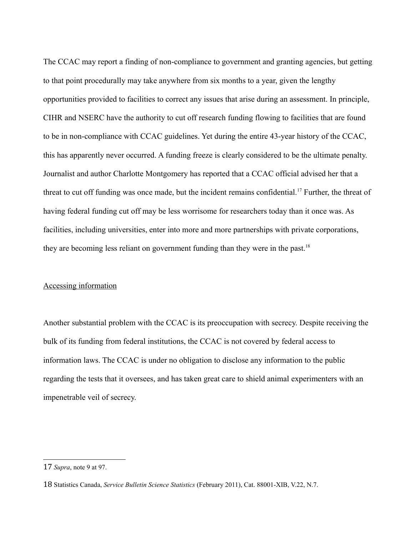The CCAC may report a finding of non-compliance to government and granting agencies, but getting to that point procedurally may take anywhere from six months to a year, given the lengthy opportunities provided to facilities to correct any issues that arise during an assessment. In principle, CIHR and NSERC have the authority to cut off research funding flowing to facilities that are found to be in non-compliance with CCAC guidelines. Yet during the entire 43-year history of the CCAC, this has apparently never occurred. A funding freeze is clearly considered to be the ultimate penalty. Journalist and author Charlotte Montgomery has reported that a CCAC official advised her that a threat to cut off funding was once made, but the incident remains confidential.<sup>[17](#page-13-0)</sup> Further, the threat of having federal funding cut off may be less worrisome for researchers today than it once was. As facilities, including universities, enter into more and more partnerships with private corporations, they are becoming less reliant on government funding than they were in the past.<sup>[18](#page-13-1)</sup>

### Accessing information

Another substantial problem with the CCAC is its preoccupation with secrecy. Despite receiving the bulk of its funding from federal institutions, the CCAC is not covered by federal access to information laws. The CCAC is under no obligation to disclose any information to the public regarding the tests that it oversees, and has taken great care to shield animal experimenters with an impenetrable veil of secrecy.

<span id="page-13-0"></span><sup>17</sup> *Supra*, note 9 at 97.

<span id="page-13-1"></span><sup>18</sup> Statistics Canada, *Service Bulletin Science Statistics* (February 2011), Cat. 88001-XIB, V.22, N.7.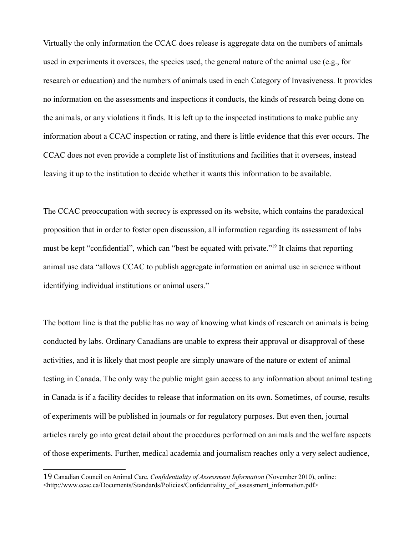Virtually the only information the CCAC does release is aggregate data on the numbers of animals used in experiments it oversees, the species used, the general nature of the animal use (e.g., for research or education) and the numbers of animals used in each Category of Invasiveness. It provides no information on the assessments and inspections it conducts, the kinds of research being done on the animals, or any violations it finds. It is left up to the inspected institutions to make public any information about a CCAC inspection or rating, and there is little evidence that this ever occurs. The CCAC does not even provide a complete list of institutions and facilities that it oversees, instead leaving it up to the institution to decide whether it wants this information to be available.

The CCAC preoccupation with secrecy is expressed on its website, which contains the paradoxical proposition that in order to foster open discussion, all information regarding its assessment of labs must be kept "confidential", which can "best be equated with private."[19](#page-14-0) It claims that reporting animal use data "allows CCAC to publish aggregate information on animal use in science without identifying individual institutions or animal users."

The bottom line is that the public has no way of knowing what kinds of research on animals is being conducted by labs. Ordinary Canadians are unable to express their approval or disapproval of these activities, and it is likely that most people are simply unaware of the nature or extent of animal testing in Canada. The only way the public might gain access to any information about animal testing in Canada is if a facility decides to release that information on its own. Sometimes, of course, results of experiments will be published in journals or for regulatory purposes. But even then, journal articles rarely go into great detail about the procedures performed on animals and the welfare aspects of those experiments. Further, medical academia and journalism reaches only a very select audience,

<span id="page-14-0"></span><sup>19</sup> Canadian Council on Animal Care, *Confidentiality of Assessment Information* (November 2010), online: <http://www.ccac.ca/Documents/Standards/Policies/Confidentiality\_of\_assessment\_information.pdf>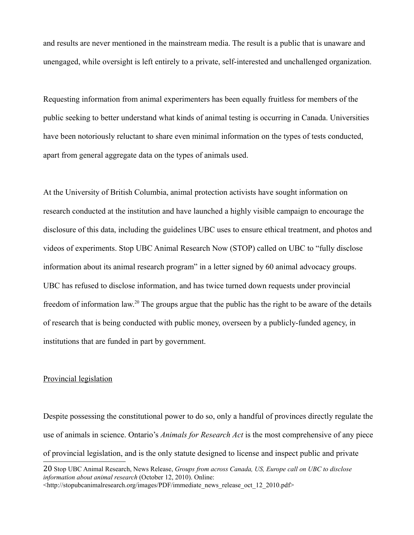and results are never mentioned in the mainstream media. The result is a public that is unaware and unengaged, while oversight is left entirely to a private, self-interested and unchallenged organization.

Requesting information from animal experimenters has been equally fruitless for members of the public seeking to better understand what kinds of animal testing is occurring in Canada. Universities have been notoriously reluctant to share even minimal information on the types of tests conducted, apart from general aggregate data on the types of animals used.

At the University of British Columbia, animal protection activists have sought information on research conducted at the institution and have launched a highly visible campaign to encourage the disclosure of this data, including the guidelines UBC uses to ensure ethical treatment, and photos and videos of experiments. Stop UBC Animal Research Now (STOP) called on UBC to "fully disclose information about its animal research program" in a letter signed by 60 animal advocacy groups. UBC has refused to disclose information, and has twice turned down requests under provincial freedom of information law.[20](#page-15-0) The groups argue that the public has the right to be aware of the details of research that is being conducted with public money, overseen by a publicly-funded agency, in institutions that are funded in part by government.

# Provincial legislation

Despite possessing the constitutional power to do so, only a handful of provinces directly regulate the use of animals in science. Ontario's *Animals for Research Act* is the most comprehensive of any piece of provincial legislation, and is the only statute designed to license and inspect public and private

<span id="page-15-0"></span><sup>20</sup> Stop UBC Animal Research, News Release, *Groups from across Canada, US, Europe call on UBC to disclose information about animal research* (October 12, 2010). Online:  $\lt$ http://stopubcanimalresearch.org/images/PDF/immediate\_news\_release\_oct\_12\_2010.pdf>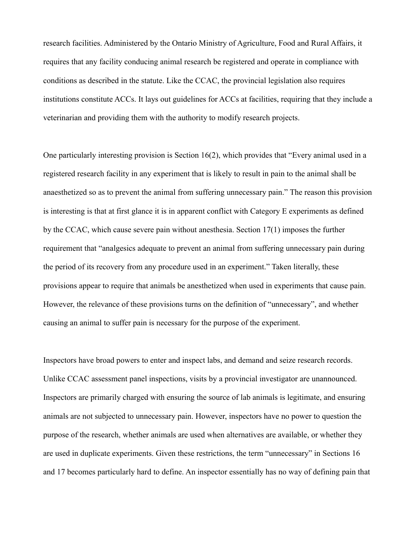research facilities. Administered by the Ontario Ministry of Agriculture, Food and Rural Affairs, it requires that any facility conducing animal research be registered and operate in compliance with conditions as described in the statute. Like the CCAC, the provincial legislation also requires institutions constitute ACCs. It lays out guidelines for ACCs at facilities, requiring that they include a veterinarian and providing them with the authority to modify research projects.

One particularly interesting provision is Section 16(2), which provides that "Every animal used in a registered research facility in any experiment that is likely to result in pain to the animal shall be anaesthetized so as to prevent the animal from suffering unnecessary pain." The reason this provision is interesting is that at first glance it is in apparent conflict with Category E experiments as defined by the CCAC, which cause severe pain without anesthesia. Section 17(1) imposes the further requirement that "analgesics adequate to prevent an animal from suffering unnecessary pain during the period of its recovery from any procedure used in an experiment." Taken literally, these provisions appear to require that animals be anesthetized when used in experiments that cause pain. However, the relevance of these provisions turns on the definition of "unnecessary", and whether causing an animal to suffer pain is necessary for the purpose of the experiment.

Inspectors have broad powers to enter and inspect labs, and demand and seize research records. Unlike CCAC assessment panel inspections, visits by a provincial investigator are unannounced. Inspectors are primarily charged with ensuring the source of lab animals is legitimate, and ensuring animals are not subjected to unnecessary pain. However, inspectors have no power to question the purpose of the research, whether animals are used when alternatives are available, or whether they are used in duplicate experiments. Given these restrictions, the term "unnecessary" in Sections 16 and 17 becomes particularly hard to define. An inspector essentially has no way of defining pain that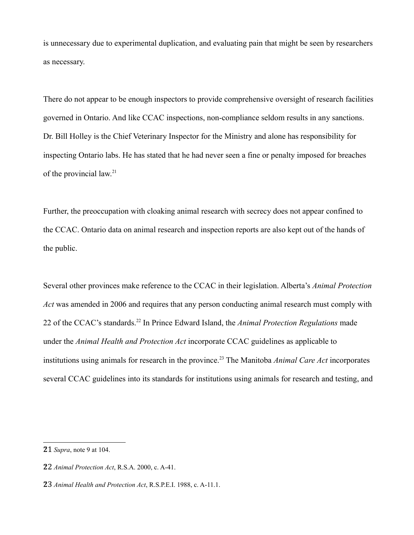is unnecessary due to experimental duplication, and evaluating pain that might be seen by researchers as necessary.

There do not appear to be enough inspectors to provide comprehensive oversight of research facilities governed in Ontario. And like CCAC inspections, non-compliance seldom results in any sanctions. Dr. Bill Holley is the Chief Veterinary Inspector for the Ministry and alone has responsibility for inspecting Ontario labs. He has stated that he had never seen a fine or penalty imposed for breaches of the provincial law.<sup>[21](#page-17-0)</sup>

Further, the preoccupation with cloaking animal research with secrecy does not appear confined to the CCAC. Ontario data on animal research and inspection reports are also kept out of the hands of the public.

Several other provinces make reference to the CCAC in their legislation. Alberta's *Animal Protection Act* was amended in 2006 and requires that any person conducting animal research must comply with 22 of the CCAC's standards.[22](#page-17-1) In Prince Edward Island, the *Animal Protection Regulations* made under the *Animal Health and Protection Act* incorporate CCAC guidelines as applicable to institutions using animals for research in the province.[23](#page-17-2) The Manitoba *Animal Care Act* incorporates several CCAC guidelines into its standards for institutions using animals for research and testing, and

<span id="page-17-0"></span><sup>21</sup> *Supra*, note 9 at 104.

<span id="page-17-1"></span><sup>22</sup> *Animal Protection Act*, R.S.A. 2000, c. A-41.

<span id="page-17-2"></span><sup>23</sup> *Animal Health and Protection Act*, R.S.P.E.I. 1988, c. A-11.1.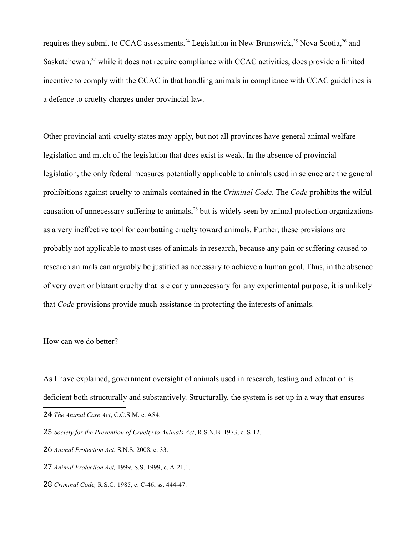requires they submit to CCAC assessments.<sup>[24](#page-18-0)</sup> Legislation in New Brunswick,<sup>[25](#page-18-1)</sup> Nova Scotia,<sup>[26](#page-18-2)</sup> and Saskatchewan,<sup>[27](#page-18-3)</sup> while it does not require compliance with CCAC activities, does provide a limited incentive to comply with the CCAC in that handling animals in compliance with CCAC guidelines is a defence to cruelty charges under provincial law.

Other provincial anti-cruelty states may apply, but not all provinces have general animal welfare legislation and much of the legislation that does exist is weak. In the absence of provincial legislation, the only federal measures potentially applicable to animals used in science are the general prohibitions against cruelty to animals contained in the *Criminal Code*. The *Code* prohibits the wilful causation of unnecessary suffering to animals,[28](#page-18-4) but is widely seen by animal protection organizations as a very ineffective tool for combatting cruelty toward animals. Further, these provisions are probably not applicable to most uses of animals in research, because any pain or suffering caused to research animals can arguably be justified as necessary to achieve a human goal. Thus, in the absence of very overt or blatant cruelty that is clearly unnecessary for any experimental purpose, it is unlikely that *Code* provisions provide much assistance in protecting the interests of animals.

### How can we do better?

As I have explained, government oversight of animals used in research, testing and education is deficient both structurally and substantively. Structurally, the system is set up in a way that ensures

- <span id="page-18-2"></span>26 *Animal Protection Act*, S.N.S. 2008, c. 33.
- <span id="page-18-3"></span>27 *Animal Protection Act,* 1999, S.S. 1999, c. A-21.1.
- <span id="page-18-4"></span>28 *Criminal Code,* R.S.C. 1985, c. C-46, ss. 444-47.

<span id="page-18-0"></span><sup>24</sup> *The Animal Care Act*, C.C.S.M. c. A84.

<span id="page-18-1"></span><sup>25</sup> *Society for the Prevention of Cruelty to Animals Act*, R.S.N.B. 1973, c. S-12.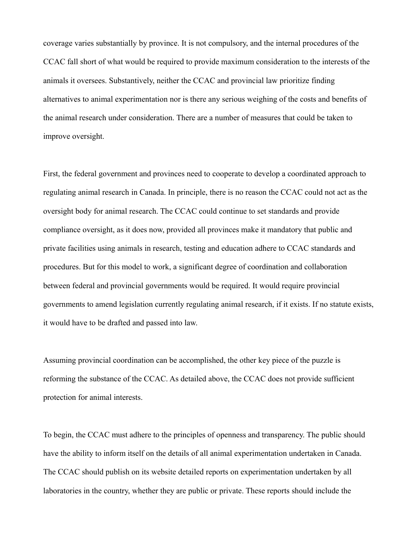coverage varies substantially by province. It is not compulsory, and the internal procedures of the CCAC fall short of what would be required to provide maximum consideration to the interests of the animals it oversees. Substantively, neither the CCAC and provincial law prioritize finding alternatives to animal experimentation nor is there any serious weighing of the costs and benefits of the animal research under consideration. There are a number of measures that could be taken to improve oversight.

First, the federal government and provinces need to cooperate to develop a coordinated approach to regulating animal research in Canada. In principle, there is no reason the CCAC could not act as the oversight body for animal research. The CCAC could continue to set standards and provide compliance oversight, as it does now, provided all provinces make it mandatory that public and private facilities using animals in research, testing and education adhere to CCAC standards and procedures. But for this model to work, a significant degree of coordination and collaboration between federal and provincial governments would be required. It would require provincial governments to amend legislation currently regulating animal research, if it exists. If no statute exists, it would have to be drafted and passed into law.

Assuming provincial coordination can be accomplished, the other key piece of the puzzle is reforming the substance of the CCAC. As detailed above, the CCAC does not provide sufficient protection for animal interests.

To begin, the CCAC must adhere to the principles of openness and transparency. The public should have the ability to inform itself on the details of all animal experimentation undertaken in Canada. The CCAC should publish on its website detailed reports on experimentation undertaken by all laboratories in the country, whether they are public or private. These reports should include the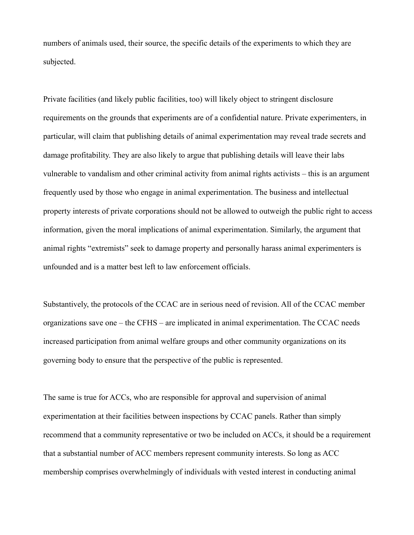numbers of animals used, their source, the specific details of the experiments to which they are subjected.

Private facilities (and likely public facilities, too) will likely object to stringent disclosure requirements on the grounds that experiments are of a confidential nature. Private experimenters, in particular, will claim that publishing details of animal experimentation may reveal trade secrets and damage profitability. They are also likely to argue that publishing details will leave their labs vulnerable to vandalism and other criminal activity from animal rights activists – this is an argument frequently used by those who engage in animal experimentation. The business and intellectual property interests of private corporations should not be allowed to outweigh the public right to access information, given the moral implications of animal experimentation. Similarly, the argument that animal rights "extremists" seek to damage property and personally harass animal experimenters is unfounded and is a matter best left to law enforcement officials.

Substantively, the protocols of the CCAC are in serious need of revision. All of the CCAC member organizations save one – the CFHS – are implicated in animal experimentation. The CCAC needs increased participation from animal welfare groups and other community organizations on its governing body to ensure that the perspective of the public is represented.

The same is true for ACCs, who are responsible for approval and supervision of animal experimentation at their facilities between inspections by CCAC panels. Rather than simply recommend that a community representative or two be included on ACCs, it should be a requirement that a substantial number of ACC members represent community interests. So long as ACC membership comprises overwhelmingly of individuals with vested interest in conducting animal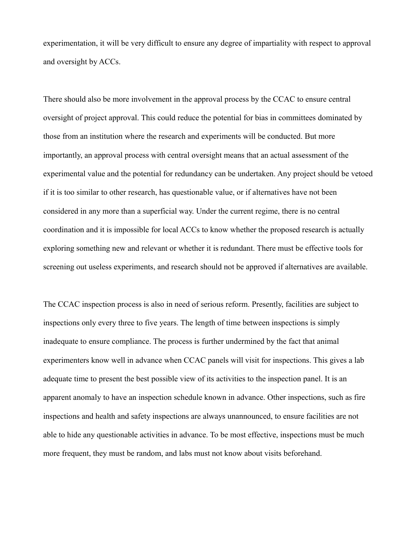experimentation, it will be very difficult to ensure any degree of impartiality with respect to approval and oversight by ACCs.

There should also be more involvement in the approval process by the CCAC to ensure central oversight of project approval. This could reduce the potential for bias in committees dominated by those from an institution where the research and experiments will be conducted. But more importantly, an approval process with central oversight means that an actual assessment of the experimental value and the potential for redundancy can be undertaken. Any project should be vetoed if it is too similar to other research, has questionable value, or if alternatives have not been considered in any more than a superficial way. Under the current regime, there is no central coordination and it is impossible for local ACCs to know whether the proposed research is actually exploring something new and relevant or whether it is redundant. There must be effective tools for screening out useless experiments, and research should not be approved if alternatives are available.

The CCAC inspection process is also in need of serious reform. Presently, facilities are subject to inspections only every three to five years. The length of time between inspections is simply inadequate to ensure compliance. The process is further undermined by the fact that animal experimenters know well in advance when CCAC panels will visit for inspections. This gives a lab adequate time to present the best possible view of its activities to the inspection panel. It is an apparent anomaly to have an inspection schedule known in advance. Other inspections, such as fire inspections and health and safety inspections are always unannounced, to ensure facilities are not able to hide any questionable activities in advance. To be most effective, inspections must be much more frequent, they must be random, and labs must not know about visits beforehand.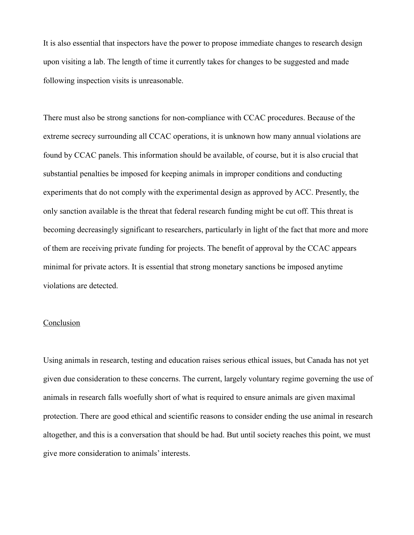It is also essential that inspectors have the power to propose immediate changes to research design upon visiting a lab. The length of time it currently takes for changes to be suggested and made following inspection visits is unreasonable.

There must also be strong sanctions for non-compliance with CCAC procedures. Because of the extreme secrecy surrounding all CCAC operations, it is unknown how many annual violations are found by CCAC panels. This information should be available, of course, but it is also crucial that substantial penalties be imposed for keeping animals in improper conditions and conducting experiments that do not comply with the experimental design as approved by ACC. Presently, the only sanction available is the threat that federal research funding might be cut off. This threat is becoming decreasingly significant to researchers, particularly in light of the fact that more and more of them are receiving private funding for projects. The benefit of approval by the CCAC appears minimal for private actors. It is essential that strong monetary sanctions be imposed anytime violations are detected.

## **Conclusion**

Using animals in research, testing and education raises serious ethical issues, but Canada has not yet given due consideration to these concerns. The current, largely voluntary regime governing the use of animals in research falls woefully short of what is required to ensure animals are given maximal protection. There are good ethical and scientific reasons to consider ending the use animal in research altogether, and this is a conversation that should be had. But until society reaches this point, we must give more consideration to animals' interests.